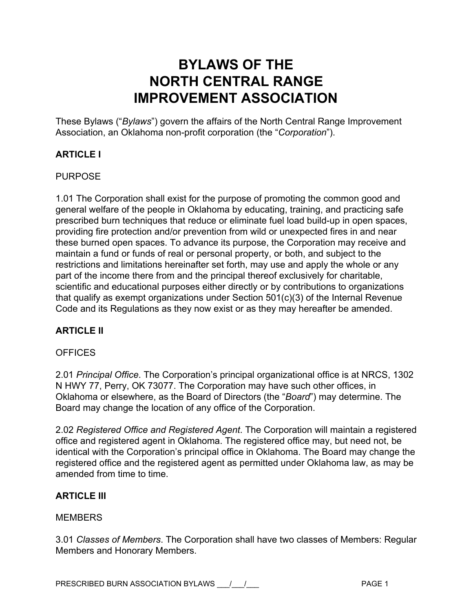# **BYLAWS OF THE NORTH CENTRAL RANGE IMPROVEMENT ASSOCIATION**

These Bylaws ("*Bylaws*") govern the affairs of the North Central Range Improvement Association, an Oklahoma non-profit corporation (the "*Corporation*").

# **ARTICLE I**

### PURPOSE

1.01 The Corporation shall exist for the purpose of promoting the common good and general welfare of the people in Oklahoma by educating, training, and practicing safe prescribed burn techniques that reduce or eliminate fuel load build-up in open spaces, providing fire protection and/or prevention from wild or unexpected fires in and near these burned open spaces. To advance its purpose, the Corporation may receive and maintain a fund or funds of real or personal property, or both, and subject to the restrictions and limitations hereinafter set forth, may use and apply the whole or any part of the income there from and the principal thereof exclusively for charitable, scientific and educational purposes either directly or by contributions to organizations that qualify as exempt organizations under Section 501(c)(3) of the Internal Revenue Code and its Regulations as they now exist or as they may hereafter be amended.

## **ARTICLE II**

### **OFFICES**

2.01 *Principal Office*. The Corporation's principal organizational office is at NRCS, 1302 N HWY 77, Perry, OK 73077. The Corporation may have such other offices, in Oklahoma or elsewhere, as the Board of Directors (the "*Board*") may determine. The Board may change the location of any office of the Corporation.

2.02 *Registered Office and Registered Agent*. The Corporation will maintain a registered office and registered agent in Oklahoma. The registered office may, but need not, be identical with the Corporation's principal office in Oklahoma. The Board may change the registered office and the registered agent as permitted under Oklahoma law, as may be amended from time to time.

### **ARTICLE III**

### **MEMBERS**

3.01 *Classes of Members*. The Corporation shall have two classes of Members: Regular Members and Honorary Members.

PRESCRIBED BURN ASSOCIATION BYLAWS \_\_\_/\_\_\_/\_\_\_ PAGE 1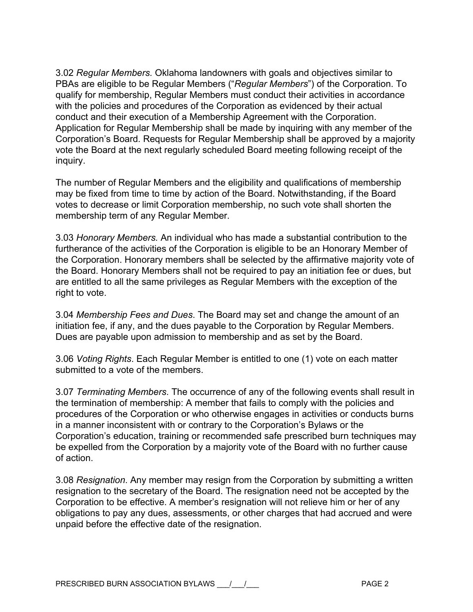3.02 *Regular Members.* Oklahoma landowners with goals and objectives similar to PBAs are eligible to be Regular Members ("*Regular Members*") of the Corporation. To qualify for membership, Regular Members must conduct their activities in accordance with the policies and procedures of the Corporation as evidenced by their actual conduct and their execution of a Membership Agreement with the Corporation. Application for Regular Membership shall be made by inquiring with any member of the Corporation's Board. Requests for Regular Membership shall be approved by a majority vote the Board at the next regularly scheduled Board meeting following receipt of the inquiry.

The number of Regular Members and the eligibility and qualifications of membership may be fixed from time to time by action of the Board. Notwithstanding, if the Board votes to decrease or limit Corporation membership, no such vote shall shorten the membership term of any Regular Member.

3.03 *Honorary Members.* An individual who has made a substantial contribution to the furtherance of the activities of the Corporation is eligible to be an Honorary Member of the Corporation. Honorary members shall be selected by the affirmative majority vote of the Board. Honorary Members shall not be required to pay an initiation fee or dues, but are entitled to all the same privileges as Regular Members with the exception of the right to vote.

3.04 *Membership Fees and Dues*. The Board may set and change the amount of an initiation fee, if any, and the dues payable to the Corporation by Regular Members. Dues are payable upon admission to membership and as set by the Board.

3.06 *Voting Rights*. Each Regular Member is entitled to one (1) vote on each matter submitted to a vote of the members.

3.07 *Terminating Members*. The occurrence of any of the following events shall result in the termination of membership: A member that fails to comply with the policies and procedures of the Corporation or who otherwise engages in activities or conducts burns in a manner inconsistent with or contrary to the Corporation's Bylaws or the Corporation's education, training or recommended safe prescribed burn techniques may be expelled from the Corporation by a majority vote of the Board with no further cause of action.

3.08 *Resignation*. Any member may resign from the Corporation by submitting a written resignation to the secretary of the Board. The resignation need not be accepted by the Corporation to be effective. A member's resignation will not relieve him or her of any obligations to pay any dues, assessments, or other charges that had accrued and were unpaid before the effective date of the resignation.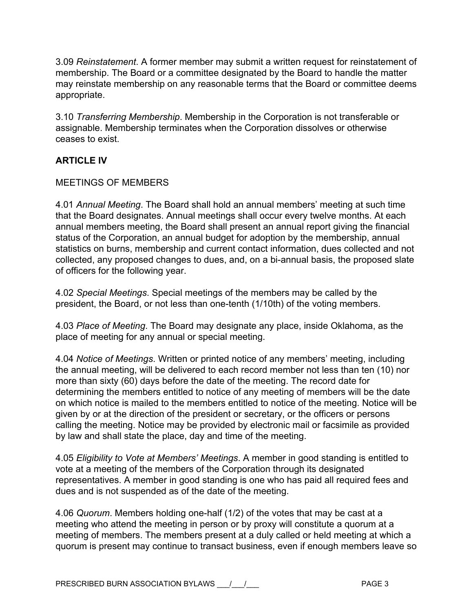3.09 *Reinstatement*. A former member may submit a written request for reinstatement of membership. The Board or a committee designated by the Board to handle the matter may reinstate membership on any reasonable terms that the Board or committee deems appropriate.

3.10 *Transferring Membership*. Membership in the Corporation is not transferable or assignable. Membership terminates when the Corporation dissolves or otherwise ceases to exist.

# **ARTICLE IV**

### MEETINGS OF MEMBERS

4.01 *Annual Meeting*. The Board shall hold an annual members' meeting at such time that the Board designates. Annual meetings shall occur every twelve months. At each annual members meeting, the Board shall present an annual report giving the financial status of the Corporation, an annual budget for adoption by the membership, annual statistics on burns, membership and current contact information, dues collected and not collected, any proposed changes to dues, and, on a bi-annual basis, the proposed slate of officers for the following year.

4.02 *Special Meetings*. Special meetings of the members may be called by the president, the Board, or not less than one-tenth (1/10th) of the voting members.

4.03 *Place of Meeting*. The Board may designate any place, inside Oklahoma, as the place of meeting for any annual or special meeting.

4.04 *Notice of Meetings*. Written or printed notice of any members' meeting, including the annual meeting, will be delivered to each record member not less than ten (10) nor more than sixty (60) days before the date of the meeting. The record date for determining the members entitled to notice of any meeting of members will be the date on which notice is mailed to the members entitled to notice of the meeting. Notice will be given by or at the direction of the president or secretary, or the officers or persons calling the meeting. Notice may be provided by electronic mail or facsimile as provided by law and shall state the place, day and time of the meeting.

4.05 *Eligibility to Vote at Members' Meetings*. A member in good standing is entitled to vote at a meeting of the members of the Corporation through its designated representatives. A member in good standing is one who has paid all required fees and dues and is not suspended as of the date of the meeting.

4.06 *Quorum*. Members holding one-half (1/2) of the votes that may be cast at a meeting who attend the meeting in person or by proxy will constitute a quorum at a meeting of members. The members present at a duly called or held meeting at which a quorum is present may continue to transact business, even if enough members leave so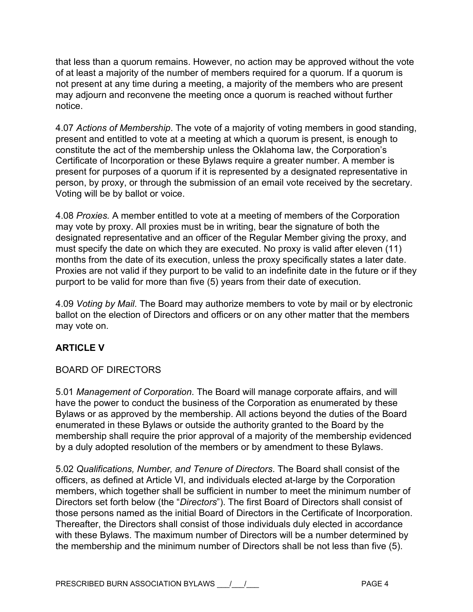that less than a quorum remains. However, no action may be approved without the vote of at least a majority of the number of members required for a quorum. If a quorum is not present at any time during a meeting, a majority of the members who are present may adjourn and reconvene the meeting once a quorum is reached without further notice.

4.07 *Actions of Membership*. The vote of a majority of voting members in good standing, present and entitled to vote at a meeting at which a quorum is present, is enough to constitute the act of the membership unless the Oklahoma law, the Corporation's Certificate of Incorporation or these Bylaws require a greater number. A member is present for purposes of a quorum if it is represented by a designated representative in person, by proxy, or through the submission of an email vote received by the secretary. Voting will be by ballot or voice.

4.08 *Proxies.* A member entitled to vote at a meeting of members of the Corporation may vote by proxy. All proxies must be in writing, bear the signature of both the designated representative and an officer of the Regular Member giving the proxy, and must specify the date on which they are executed. No proxy is valid after eleven (11) months from the date of its execution, unless the proxy specifically states a later date. Proxies are not valid if they purport to be valid to an indefinite date in the future or if they purport to be valid for more than five (5) years from their date of execution.

4.09 *Voting by Mail*. The Board may authorize members to vote by mail or by electronic ballot on the election of Directors and officers or on any other matter that the members may vote on.

# **ARTICLE V**

## BOARD OF DIRECTORS

5.01 *Management of Corporation*. The Board will manage corporate affairs, and will have the power to conduct the business of the Corporation as enumerated by these Bylaws or as approved by the membership. All actions beyond the duties of the Board enumerated in these Bylaws or outside the authority granted to the Board by the membership shall require the prior approval of a majority of the membership evidenced by a duly adopted resolution of the members or by amendment to these Bylaws.

5.02 *Qualifications, Number, and Tenure of Directors*. The Board shall consist of the officers, as defined at Article VI, and individuals elected at-large by the Corporation members, which together shall be sufficient in number to meet the minimum number of Directors set forth below (the "*Directors*"). The first Board of Directors shall consist of those persons named as the initial Board of Directors in the Certificate of Incorporation. Thereafter, the Directors shall consist of those individuals duly elected in accordance with these Bylaws. The maximum number of Directors will be a number determined by the membership and the minimum number of Directors shall be not less than five (5).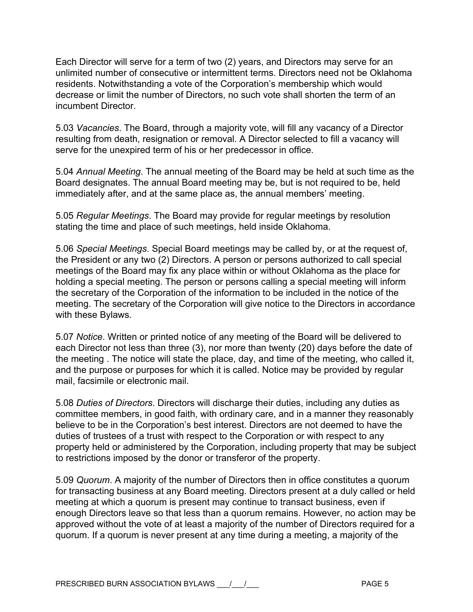Each Director will serve for a term of two (2) years, and Directors may serve for an unlimited number of consecutive or intermittent terms. Directors need not be Oklahoma residents. Notwithstanding a vote of the Corporation's membership which would decrease or limit the number of Directors, no such vote shall shorten the term of an incumbent Director.

5.03 *Vacancies*. The Board, through a majority vote, will fill any vacancy of a Director resulting from death, resignation or removal. A Director selected to fill a vacancy will serve for the unexpired term of his or her predecessor in office.

5.04 *Annual Meeting*. The annual meeting of the Board may be held at such time as the Board designates. The annual Board meeting may be, but is not required to be, held immediately after, and at the same place as, the annual members' meeting.

5.05 *Regular Meetings*. The Board may provide for regular meetings by resolution stating the time and place of such meetings, held inside Oklahoma.

5.06 *Special Meetings*. Special Board meetings may be called by, or at the request of, the President or any two (2) Directors. A person or persons authorized to call special meetings of the Board may fix any place within or without Oklahoma as the place for holding a special meeting. The person or persons calling a special meeting will inform the secretary of the Corporation of the information to be included in the notice of the meeting. The secretary of the Corporation will give notice to the Directors in accordance with these Bylaws.

5.07 *Notice*. Written or printed notice of any meeting of the Board will be delivered to each Director not less than three (3), nor more than twenty (20) days before the date of the meeting . The notice will state the place, day, and time of the meeting, who called it, and the purpose or purposes for which it is called. Notice may be provided by regular mail, facsimile or electronic mail.

5.08 *Duties of Directors*. Directors will discharge their duties, including any duties as committee members, in good faith, with ordinary care, and in a manner they reasonably believe to be in the Corporation's best interest. Directors are not deemed to have the duties of trustees of a trust with respect to the Corporation or with respect to any property held or administered by the Corporation, including property that may be subject to restrictions imposed by the donor or transferor of the property.

5.09 *Quorum*. A majority of the number of Directors then in office constitutes a quorum for transacting business at any Board meeting. Directors present at a duly called or held meeting at which a quorum is present may continue to transact business, even if enough Directors leave so that less than a quorum remains. However, no action may be approved without the vote of at least a majority of the number of Directors required for a quorum. If a quorum is never present at any time during a meeting, a majority of the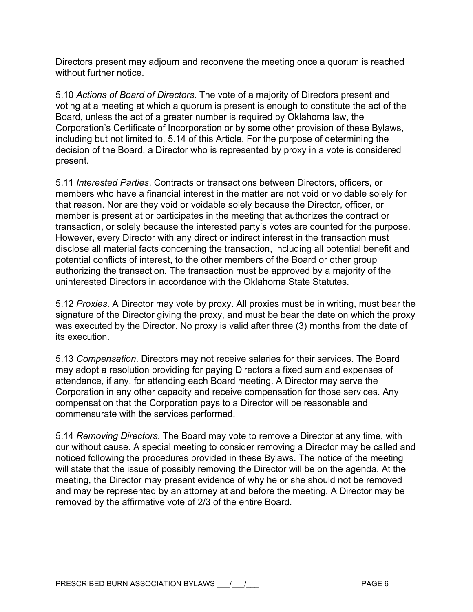Directors present may adjourn and reconvene the meeting once a quorum is reached without further notice.

5.10 *Actions of Board of Directors*. The vote of a majority of Directors present and voting at a meeting at which a quorum is present is enough to constitute the act of the Board, unless the act of a greater number is required by Oklahoma law, the Corporation's Certificate of Incorporation or by some other provision of these Bylaws, including but not limited to, 5.14 of this Article. For the purpose of determining the decision of the Board, a Director who is represented by proxy in a vote is considered present.

5.11 *Interested Parties*. Contracts or transactions between Directors, officers, or members who have a financial interest in the matter are not void or voidable solely for that reason. Nor are they void or voidable solely because the Director, officer, or member is present at or participates in the meeting that authorizes the contract or transaction, or solely because the interested party's votes are counted for the purpose. However, every Director with any direct or indirect interest in the transaction must disclose all material facts concerning the transaction, including all potential benefit and potential conflicts of interest, to the other members of the Board or other group authorizing the transaction. The transaction must be approved by a majority of the uninterested Directors in accordance with the Oklahoma State Statutes.

5.12 *Proxies*. A Director may vote by proxy. All proxies must be in writing, must bear the signature of the Director giving the proxy, and must be bear the date on which the proxy was executed by the Director. No proxy is valid after three (3) months from the date of its execution.

5.13 *Compensation*. Directors may not receive salaries for their services. The Board may adopt a resolution providing for paying Directors a fixed sum and expenses of attendance, if any, for attending each Board meeting. A Director may serve the Corporation in any other capacity and receive compensation for those services. Any compensation that the Corporation pays to a Director will be reasonable and commensurate with the services performed.

5.14 *Removing Directors*. The Board may vote to remove a Director at any time, with our without cause. A special meeting to consider removing a Director may be called and noticed following the procedures provided in these Bylaws. The notice of the meeting will state that the issue of possibly removing the Director will be on the agenda. At the meeting, the Director may present evidence of why he or she should not be removed and may be represented by an attorney at and before the meeting. A Director may be removed by the affirmative vote of 2/3 of the entire Board.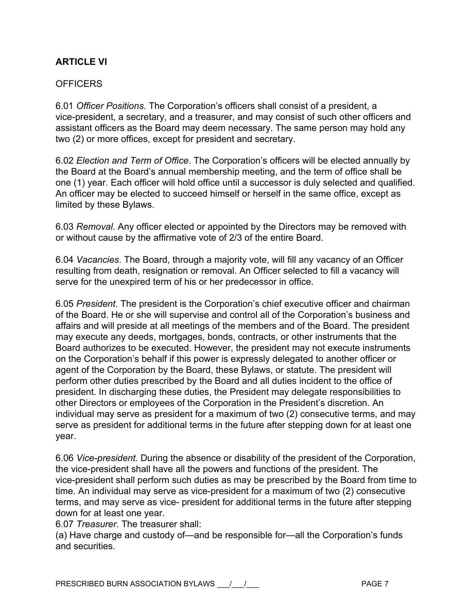## **ARTICI F VI**

### OFFICERS

6.01 *Officer Positions*. The Corporation's officers shall consist of a president, a vice-president, a secretary, and a treasurer, and may consist of such other officers and assistant officers as the Board may deem necessary. The same person may hold any two (2) or more offices, except for president and secretary.

6.02 *Election and Term of Office*. The Corporation's officers will be elected annually by the Board at the Board's annual membership meeting, and the term of office shall be one (1) year. Each officer will hold office until a successor is duly selected and qualified. An officer may be elected to succeed himself or herself in the same office, except as limited by these Bylaws.

6.03 *Removal*. Any officer elected or appointed by the Directors may be removed with or without cause by the affirmative vote of 2/3 of the entire Board.

6.04 *Vacancies*. The Board, through a majority vote, will fill any vacancy of an Officer resulting from death, resignation or removal. An Officer selected to fill a vacancy will serve for the unexpired term of his or her predecessor in office.

6.05 *President*. The president is the Corporation's chief executive officer and chairman of the Board. He or she will supervise and control all of the Corporation's business and affairs and will preside at all meetings of the members and of the Board. The president may execute any deeds, mortgages, bonds, contracts, or other instruments that the Board authorizes to be executed. However, the president may not execute instruments on the Corporation's behalf if this power is expressly delegated to another officer or agent of the Corporation by the Board, these Bylaws, or statute. The president will perform other duties prescribed by the Board and all duties incident to the office of president. In discharging these duties, the President may delegate responsibilities to other Directors or employees of the Corporation in the President's discretion. An individual may serve as president for a maximum of two (2) consecutive terms, and may serve as president for additional terms in the future after stepping down for at least one year.

6.06 *Vice-president.* During the absence or disability of the president of the Corporation, the vice-president shall have all the powers and functions of the president. The vice-president shall perform such duties as may be prescribed by the Board from time to time. An individual may serve as vice-president for a maximum of two (2) consecutive terms, and may serve as vice- president for additional terms in the future after stepping down for at least one year.

6.07 *Treasurer*. The treasurer shall:

(a) Have charge and custody of—and be responsible for—all the Corporation's funds and securities.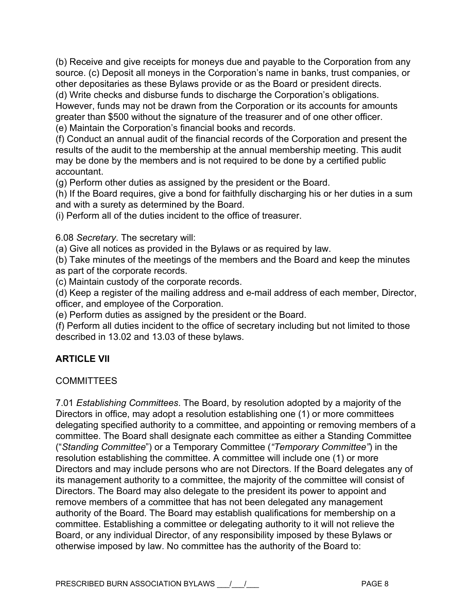(b) Receive and give receipts for moneys due and payable to the Corporation from any source. (c) Deposit all moneys in the Corporation's name in banks, trust companies, or other depositaries as these Bylaws provide or as the Board or president directs.

(d) Write checks and disburse funds to discharge the Corporation's obligations. However, funds may not be drawn from the Corporation or its accounts for amounts greater than \$500 without the signature of the treasurer and of one other officer. (e) Maintain the Corporation's financial books and records.

(f) Conduct an annual audit of the financial records of the Corporation and present the results of the audit to the membership at the annual membership meeting. This audit may be done by the members and is not required to be done by a certified public accountant.

(g) Perform other duties as assigned by the president or the Board.

(h) If the Board requires, give a bond for faithfully discharging his or her duties in a sum and with a surety as determined by the Board.

(i) Perform all of the duties incident to the office of treasurer.

6.08 *Secretary*. The secretary will:

(a) Give all notices as provided in the Bylaws or as required by law.

(b) Take minutes of the meetings of the members and the Board and keep the minutes as part of the corporate records.

(c) Maintain custody of the corporate records.

(d) Keep a register of the mailing address and e-mail address of each member, Director, officer, and employee of the Corporation.

(e) Perform duties as assigned by the president or the Board.

(f) Perform all duties incident to the office of secretary including but not limited to those described in 13.02 and 13.03 of these bylaws.

## **ARTICLE VII**

### **COMMITTEES**

7.01 *Establishing Committees*. The Board, by resolution adopted by a majority of the Directors in office, may adopt a resolution establishing one (1) or more committees delegating specified authority to a committee, and appointing or removing members of a committee. The Board shall designate each committee as either a Standing Committee ("*Standing Committee*") or a Temporary Committee (*"Temporary Committee"*) in the resolution establishing the committee. A committee will include one (1) or more Directors and may include persons who are not Directors. If the Board delegates any of its management authority to a committee, the majority of the committee will consist of Directors. The Board may also delegate to the president its power to appoint and remove members of a committee that has not been delegated any management authority of the Board. The Board may establish qualifications for membership on a committee. Establishing a committee or delegating authority to it will not relieve the Board, or any individual Director, of any responsibility imposed by these Bylaws or otherwise imposed by law. No committee has the authority of the Board to: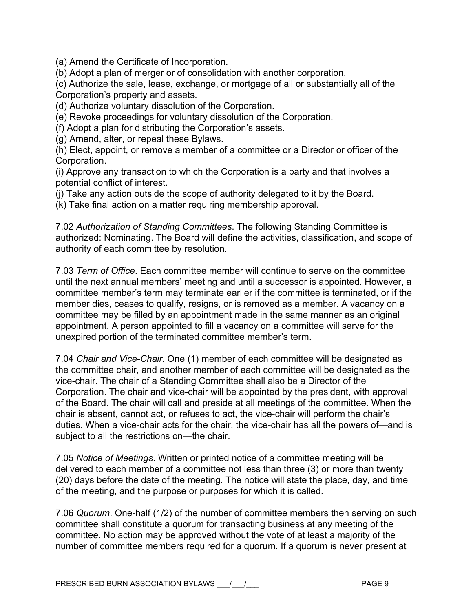(a) Amend the Certificate of Incorporation.

(b) Adopt a plan of merger or of consolidation with another corporation.

(c) Authorize the sale, lease, exchange, or mortgage of all or substantially all of the Corporation's property and assets.

(d) Authorize voluntary dissolution of the Corporation.

(e) Revoke proceedings for voluntary dissolution of the Corporation.

(f) Adopt a plan for distributing the Corporation's assets.

(g) Amend, alter, or repeal these Bylaws.

(h) Elect, appoint, or remove a member of a committee or a Director or officer of the Corporation.

(i) Approve any transaction to which the Corporation is a party and that involves a potential conflict of interest.

(j) Take any action outside the scope of authority delegated to it by the Board.

(k) Take final action on a matter requiring membership approval.

7.02 *Authorization of Standing Committees*. The following Standing Committee is authorized: Nominating. The Board will define the activities, classification, and scope of authority of each committee by resolution.

7.03 *Term of Office*. Each committee member will continue to serve on the committee until the next annual members' meeting and until a successor is appointed. However, a committee member's term may terminate earlier if the committee is terminated, or if the member dies, ceases to qualify, resigns, or is removed as a member. A vacancy on a committee may be filled by an appointment made in the same manner as an original appointment. A person appointed to fill a vacancy on a committee will serve for the unexpired portion of the terminated committee member's term.

7.04 *Chair and Vice-Chair*. One (1) member of each committee will be designated as the committee chair, and another member of each committee will be designated as the vice-chair. The chair of a Standing Committee shall also be a Director of the Corporation. The chair and vice-chair will be appointed by the president, with approval of the Board. The chair will call and preside at all meetings of the committee. When the chair is absent, cannot act, or refuses to act, the vice-chair will perform the chair's duties. When a vice-chair acts for the chair, the vice-chair has all the powers of—and is subject to all the restrictions on—the chair.

7.05 *Notice of Meetings*. Written or printed notice of a committee meeting will be delivered to each member of a committee not less than three (3) or more than twenty (20) days before the date of the meeting. The notice will state the place, day, and time of the meeting, and the purpose or purposes for which it is called.

7.06 *Quorum*. One-half (1/2) of the number of committee members then serving on such committee shall constitute a quorum for transacting business at any meeting of the committee. No action may be approved without the vote of at least a majority of the number of committee members required for a quorum. If a quorum is never present at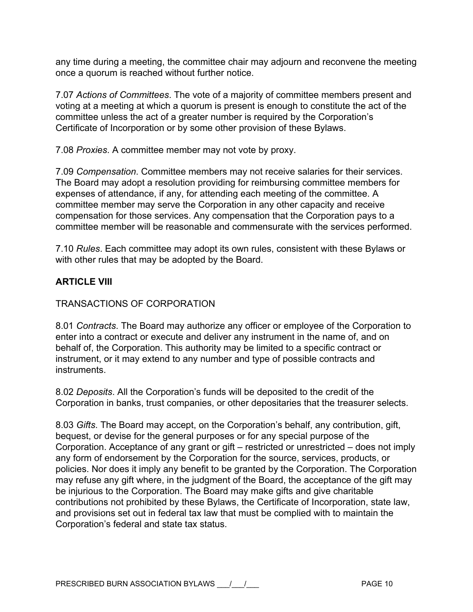any time during a meeting, the committee chair may adjourn and reconvene the meeting once a quorum is reached without further notice.

7.07 *Actions of Committees*. The vote of a majority of committee members present and voting at a meeting at which a quorum is present is enough to constitute the act of the committee unless the act of a greater number is required by the Corporation's Certificate of Incorporation or by some other provision of these Bylaws.

7.08 *Proxies*. A committee member may not vote by proxy.

7.09 *Compensation*. Committee members may not receive salaries for their services. The Board may adopt a resolution providing for reimbursing committee members for expenses of attendance, if any, for attending each meeting of the committee. A committee member may serve the Corporation in any other capacity and receive compensation for those services. Any compensation that the Corporation pays to a committee member will be reasonable and commensurate with the services performed.

7.10 *Rules*. Each committee may adopt its own rules, consistent with these Bylaws or with other rules that may be adopted by the Board.

## **ARTICLE VIII**

TRANSACTIONS OF CORPORATION

8.01 *Contracts*. The Board may authorize any officer or employee of the Corporation to enter into a contract or execute and deliver any instrument in the name of, and on behalf of, the Corporation. This authority may be limited to a specific contract or instrument, or it may extend to any number and type of possible contracts and instruments.

8.02 *Deposits*. All the Corporation's funds will be deposited to the credit of the Corporation in banks, trust companies, or other depositaries that the treasurer selects.

8.03 *Gifts*. The Board may accept, on the Corporation's behalf, any contribution, gift, bequest, or devise for the general purposes or for any special purpose of the Corporation. Acceptance of any grant or gift – restricted or unrestricted – does not imply any form of endorsement by the Corporation for the source, services, products, or policies. Nor does it imply any benefit to be granted by the Corporation. The Corporation may refuse any gift where, in the judgment of the Board, the acceptance of the gift may be injurious to the Corporation. The Board may make gifts and give charitable contributions not prohibited by these Bylaws, the Certificate of Incorporation, state law, and provisions set out in federal tax law that must be complied with to maintain the Corporation's federal and state tax status.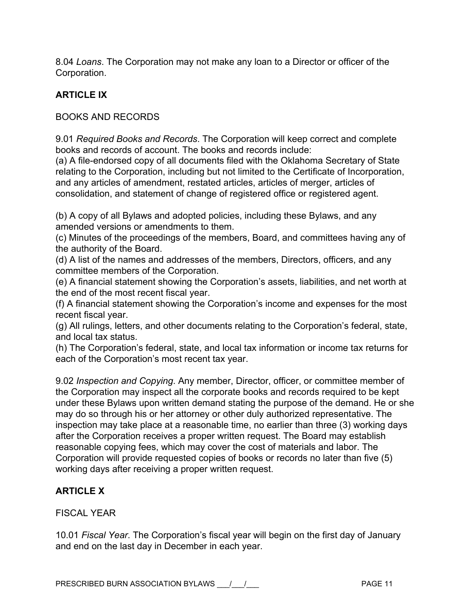8.04 *Loans*. The Corporation may not make any loan to a Director or officer of the Corporation.

# **ARTICLE IX**

BOOKS AND RECORDS

9.01 *Required Books and Records*. The Corporation will keep correct and complete books and records of account. The books and records include:

(a) A file-endorsed copy of all documents filed with the Oklahoma Secretary of State relating to the Corporation, including but not limited to the Certificate of Incorporation, and any articles of amendment, restated articles, articles of merger, articles of consolidation, and statement of change of registered office or registered agent.

(b) A copy of all Bylaws and adopted policies, including these Bylaws, and any amended versions or amendments to them.

(c) Minutes of the proceedings of the members, Board, and committees having any of the authority of the Board.

(d) A list of the names and addresses of the members, Directors, officers, and any committee members of the Corporation.

(e) A financial statement showing the Corporation's assets, liabilities, and net worth at the end of the most recent fiscal year.

(f) A financial statement showing the Corporation's income and expenses for the most recent fiscal year.

(g) All rulings, letters, and other documents relating to the Corporation's federal, state, and local tax status.

(h) The Corporation's federal, state, and local tax information or income tax returns for each of the Corporation's most recent tax year.

9.02 *Inspection and Copying*. Any member, Director, officer, or committee member of the Corporation may inspect all the corporate books and records required to be kept under these Bylaws upon written demand stating the purpose of the demand. He or she may do so through his or her attorney or other duly authorized representative. The inspection may take place at a reasonable time, no earlier than three (3) working days after the Corporation receives a proper written request. The Board may establish reasonable copying fees, which may cover the cost of materials and labor. The Corporation will provide requested copies of books or records no later than five (5) working days after receiving a proper written request.

# **ARTICLE X**

## FISCAL YEAR

10.01 *Fiscal Year*. The Corporation's fiscal year will begin on the first day of January and end on the last day in December in each year.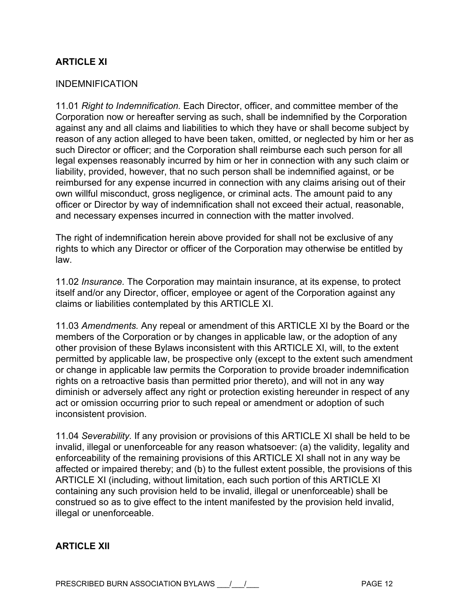# **ARTICI F XI**

#### INDEMNIFICATION

11.01 *Right to Indemnification.* Each Director, officer, and committee member of the Corporation now or hereafter serving as such, shall be indemnified by the Corporation against any and all claims and liabilities to which they have or shall become subject by reason of any action alleged to have been taken, omitted, or neglected by him or her as such Director or officer; and the Corporation shall reimburse each such person for all legal expenses reasonably incurred by him or her in connection with any such claim or liability, provided, however, that no such person shall be indemnified against, or be reimbursed for any expense incurred in connection with any claims arising out of their own willful misconduct, gross negligence, or criminal acts. The amount paid to any officer or Director by way of indemnification shall not exceed their actual, reasonable, and necessary expenses incurred in connection with the matter involved.

The right of indemnification herein above provided for shall not be exclusive of any rights to which any Director or officer of the Corporation may otherwise be entitled by law.

11.02 *Insurance.* The Corporation may maintain insurance, at its expense, to protect itself and/or any Director, officer, employee or agent of the Corporation against any claims or liabilities contemplated by this ARTICLE XI.

11.03 *Amendments.* Any repeal or amendment of this ARTICLE XI by the Board or the members of the Corporation or by changes in applicable law, or the adoption of any other provision of these Bylaws inconsistent with this ARTICLE XI, will, to the extent permitted by applicable law, be prospective only (except to the extent such amendment or change in applicable law permits the Corporation to provide broader indemnification rights on a retroactive basis than permitted prior thereto), and will not in any way diminish or adversely affect any right or protection existing hereunder in respect of any act or omission occurring prior to such repeal or amendment or adoption of such inconsistent provision.

11.04 *Severability.* If any provision or provisions of this ARTICLE XI shall be held to be invalid, illegal or unenforceable for any reason whatsoever: (a) the validity, legality and enforceability of the remaining provisions of this ARTICLE XI shall not in any way be affected or impaired thereby; and (b) to the fullest extent possible, the provisions of this ARTICLE XI (including, without limitation, each such portion of this ARTICLE XI containing any such provision held to be invalid, illegal or unenforceable) shall be construed so as to give effect to the intent manifested by the provision held invalid, illegal or unenforceable.

### **ARTICLE XII**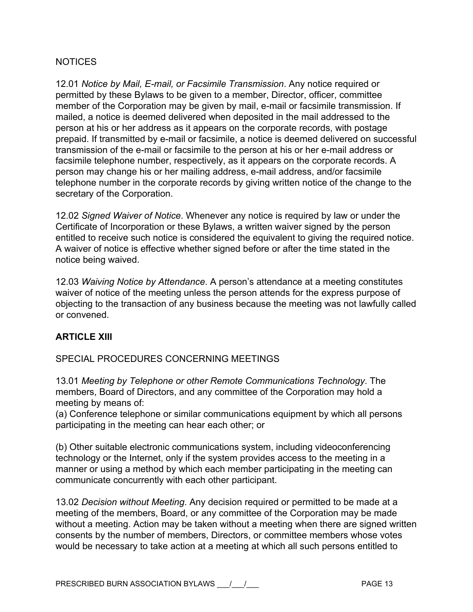### **NOTICES**

12.01 *Notice by Mail, E-mail, or Facsimile Transmission*. Any notice required or permitted by these Bylaws to be given to a member, Director, officer, committee member of the Corporation may be given by mail, e-mail or facsimile transmission. If mailed, a notice is deemed delivered when deposited in the mail addressed to the person at his or her address as it appears on the corporate records, with postage prepaid. If transmitted by e-mail or facsimile, a notice is deemed delivered on successful transmission of the e-mail or facsimile to the person at his or her e-mail address or facsimile telephone number, respectively, as it appears on the corporate records. A person may change his or her mailing address, e-mail address, and/or facsimile telephone number in the corporate records by giving written notice of the change to the secretary of the Corporation.

12.02 *Signed Waiver of Notice*. Whenever any notice is required by law or under the Certificate of Incorporation or these Bylaws, a written waiver signed by the person entitled to receive such notice is considered the equivalent to giving the required notice. A waiver of notice is effective whether signed before or after the time stated in the notice being waived.

12.03 *Waiving Notice by Attendance*. A person's attendance at a meeting constitutes waiver of notice of the meeting unless the person attends for the express purpose of objecting to the transaction of any business because the meeting was not lawfully called or convened.

### **ARTICLE XIII**

### SPECIAL PROCEDURES CONCERNING MEETINGS

13.01 *Meeting by Telephone or other Remote Communications Technology*. The members, Board of Directors, and any committee of the Corporation may hold a meeting by means of:

(a) Conference telephone or similar communications equipment by which all persons participating in the meeting can hear each other; or

(b) Other suitable electronic communications system, including videoconferencing technology or the Internet, only if the system provides access to the meeting in a manner or using a method by which each member participating in the meeting can communicate concurrently with each other participant.

13.02 *Decision without Meeting*. Any decision required or permitted to be made at a meeting of the members, Board, or any committee of the Corporation may be made without a meeting. Action may be taken without a meeting when there are signed written consents by the number of members, Directors, or committee members whose votes would be necessary to take action at a meeting at which all such persons entitled to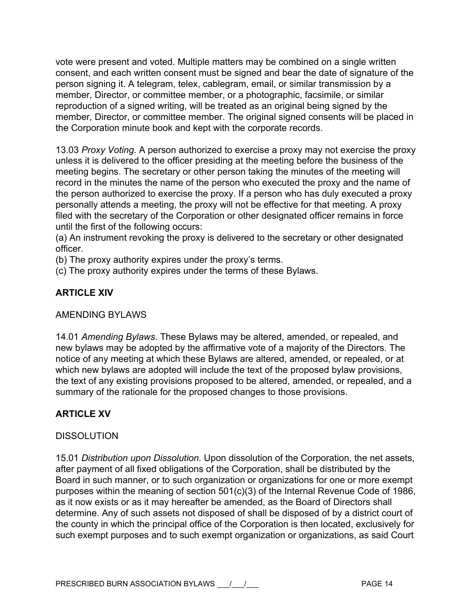vote were present and voted. Multiple matters may be combined on a single written consent, and each written consent must be signed and bear the date of signature of the person signing it. A telegram, telex, cablegram, email, or similar transmission by a member, Director, or committee member, or a photographic, facsimile, or similar reproduction of a signed writing, will be treated as an original being signed by the member, Director, or committee member. The original signed consents will be placed in the Corporation minute book and kept with the corporate records.

13.03 *Proxy Voting*. A person authorized to exercise a proxy may not exercise the proxy unless it is delivered to the officer presiding at the meeting before the business of the meeting begins. The secretary or other person taking the minutes of the meeting will record in the minutes the name of the person who executed the proxy and the name of the person authorized to exercise the proxy. If a person who has duly executed a proxy personally attends a meeting, the proxy will not be effective for that meeting. A proxy filed with the secretary of the Corporation or other designated officer remains in force until the first of the following occurs:

(a) An instrument revoking the proxy is delivered to the secretary or other designated officer.

(b) The proxy authority expires under the proxy's terms.

(c) The proxy authority expires under the terms of these Bylaws.

# **ARTICLE XIV**

### AMENDING BYLAWS

14.01 *Amending Bylaws*. These Bylaws may be altered, amended, or repealed, and new bylaws may be adopted by the affirmative vote of a majority of the Directors. The notice of any meeting at which these Bylaws are altered, amended, or repealed, or at which new bylaws are adopted will include the text of the proposed bylaw provisions, the text of any existing provisions proposed to be altered, amended, or repealed, and a summary of the rationale for the proposed changes to those provisions.

## **ARTICLE XV**

### **DISSOLUTION**

15.01 *Distribution upon Dissolution.* Upon dissolution of the Corporation, the net assets, after payment of all fixed obligations of the Corporation, shall be distributed by the Board in such manner, or to such organization or organizations for one or more exempt purposes within the meaning of section 501(c)(3) of the Internal Revenue Code of 1986, as it now exists or as it may hereafter be amended, as the Board of Directors shall determine. Any of such assets not disposed of shall be disposed of by a district court of the county in which the principal office of the Corporation is then located, exclusively for such exempt purposes and to such exempt organization or organizations, as said Court